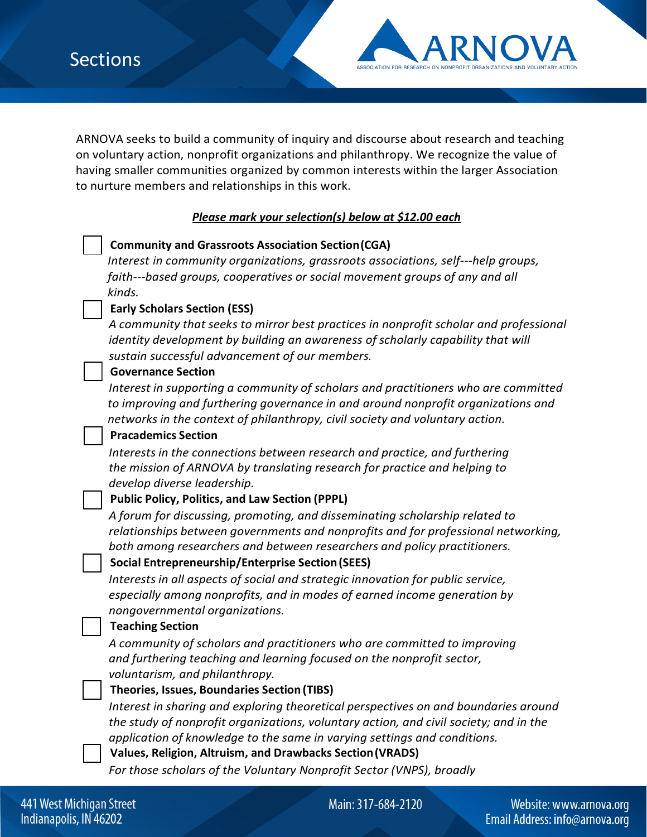

ARNOVA seeks to build a community of inquiry and discourse about research and teaching on voluntary action, nonprofit organizations and philanthropy. We recognize the value of having smaller communities organized by common interests within the larger Association to nurture members and relationships in this work.

# *Please mark your selection(s) below at \$12.00 each*

## **Community and Grassroots Association Section(CGA)**

*Interest in community organizations, grassroots associations, self---help groups, faith---based groups, cooperatives or social movement groups of any and all kinds.*

## **Early Scholars Section (ESS)**

*A community that seeks to mirror best practices in nonprofit scholar and professional identity development by building an awareness of scholarly capability that will sustain successful advancement of our members.*

## **Governance Section**

*Interest in supporting a community of scholars and practitioners who are committed to improving and furthering governance in and around nonprofit organizations and networks in the context of philanthropy, civil society and voluntary action.*

## **Pracademics Section**

*Interests in the connections between research and practice, and furthering the mission of ARNOVA by translating research for practice and helping to develop diverse leadership.*

### **Public Policy, Politics, and Law Section (PPPL)**

*A forum for discussing, promoting, and disseminating scholarship related to relationships between governments and nonprofits and for professional networking, both among researchers and between researchers and policy practitioners.*

### **Social Entrepreneurship/Enterprise Section(SEES)**

*Interests in all aspects of social and strategic innovation for public service, especially among nonprofits, and in modes of earned income generation by nongovernmental organizations.*

### **Teaching Section**

*A community of scholars and practitioners who are committed to improving and furthering teaching and learning focused on the nonprofit sector, voluntarism, and philanthropy.*

### **Theories, Issues, Boundaries Section (TIBS)**

*Interest in sharing and exploring theoretical perspectives on and boundaries around the study of nonprofit organizations, voluntary action, and civil society; and in the application of knowledge to the same in varying settings and conditions.*

**Values, Religion, Altruism, and Drawbacks Section(VRADS)**

*For those scholars of the Voluntary Nonprofit Sector (VNPS), broadly*